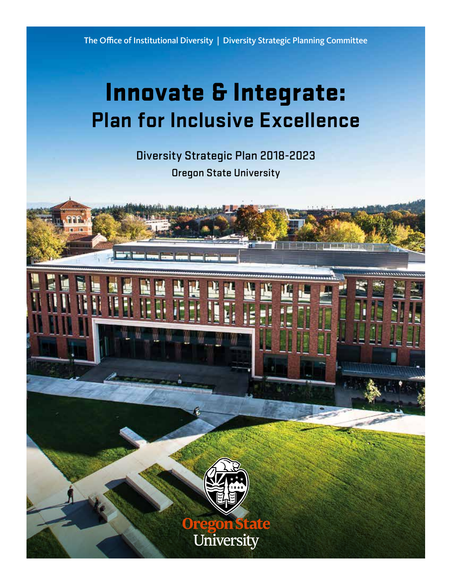The Office of Institutional Diversity | Diversity Strategic Planning Committee

# Innovate & Integrate: **Plan for Inclusive Excellence**

Diversity Strategic Plan 2018-2023 Oregon State University

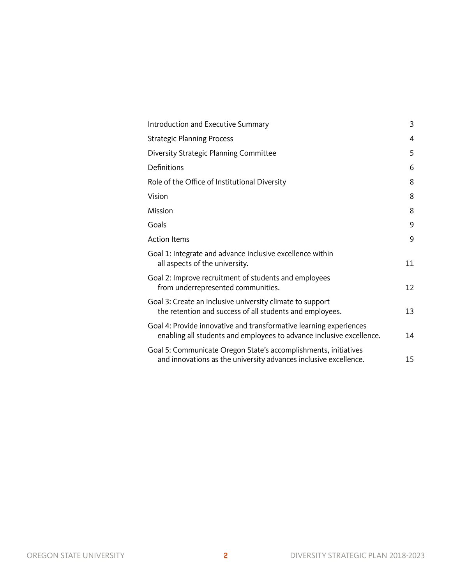| Introduction and Executive Summary                                                                                                         | 3  |
|--------------------------------------------------------------------------------------------------------------------------------------------|----|
| <b>Strategic Planning Process</b>                                                                                                          | 4  |
| Diversity Strategic Planning Committee                                                                                                     | 5  |
| Definitions                                                                                                                                | 6  |
| Role of the Office of Institutional Diversity                                                                                              | 8  |
| Vision                                                                                                                                     | 8  |
| Mission                                                                                                                                    | 8  |
| Goals                                                                                                                                      | 9  |
| <b>Action Items</b>                                                                                                                        | 9  |
| Goal 1: Integrate and advance inclusive excellence within<br>all aspects of the university.                                                | 11 |
| Goal 2: Improve recruitment of students and employees<br>from underrepresented communities.                                                | 12 |
| Goal 3: Create an inclusive university climate to support<br>the retention and success of all students and employees.                      | 13 |
| Goal 4: Provide innovative and transformative learning experiences<br>enabling all students and employees to advance inclusive excellence. | 14 |
| Goal 5: Communicate Oregon State's accomplishments, initiatives<br>and innovations as the university advances inclusive excellence.        | 15 |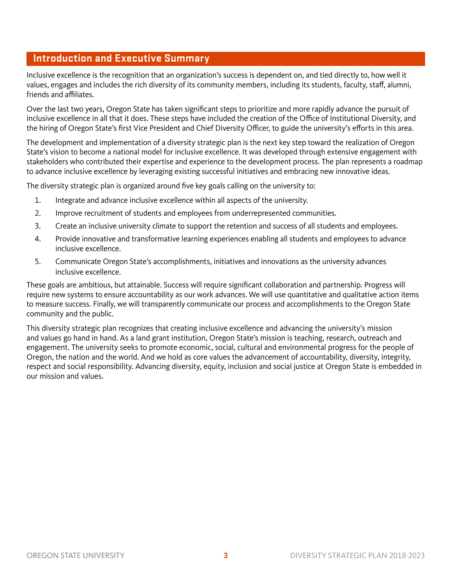## **Introduction and Executive Summary**

Inclusive excellence is the recognition that an organization's success is dependent on, and tied directly to, how well it values, engages and includes the rich diversity of its community members, including its students, faculty, staff, alumni, friends and affiliates.

Over the last two years, Oregon State has taken significant steps to prioritize and more rapidly advance the pursuit of inclusive excellence in all that it does. These steps have included the creation of the Office of Institutional Diversity, and the hiring of Oregon State's first Vice President and Chief Diversity Officer, to guide the university's efforts in this area.

The development and implementation of a diversity strategic plan is the next key step toward the realization of Oregon State's vision to become a national model for inclusive excellence. It was developed through extensive engagement with stakeholders who contributed their expertise and experience to the development process. The plan represents a roadmap to advance inclusive excellence by leveraging existing successful initiatives and embracing new innovative ideas.

The diversity strategic plan is organized around five key goals calling on the university to:

- 1. Integrate and advance inclusive excellence within all aspects of the university.
- 2. Improve recruitment of students and employees from underrepresented communities.
- 3. Create an inclusive university climate to support the retention and success of all students and employees.
- 4. Provide innovative and transformative learning experiences enabling all students and employees to advance inclusive excellence.
- 5. Communicate Oregon State's accomplishments, initiatives and innovations as the university advances inclusive excellence.

These goals are ambitious, but attainable. Success will require significant collaboration and partnership. Progress will require new systems to ensure accountability as our work advances. We will use quantitative and qualitative action items to measure success. Finally, we will transparently communicate our process and accomplishments to the Oregon State community and the public.

This diversity strategic plan recognizes that creating inclusive excellence and advancing the university's mission and values go hand in hand. As a land grant institution, Oregon State's mission is teaching, research, outreach and engagement. The university seeks to promote economic, social, cultural and environmental progress for the people of Oregon, the nation and the world. And we hold as core values the advancement of accountability, diversity, integrity, respect and social responsibility. Advancing diversity, equity, inclusion and social justice at Oregon State is embedded in our mission and values.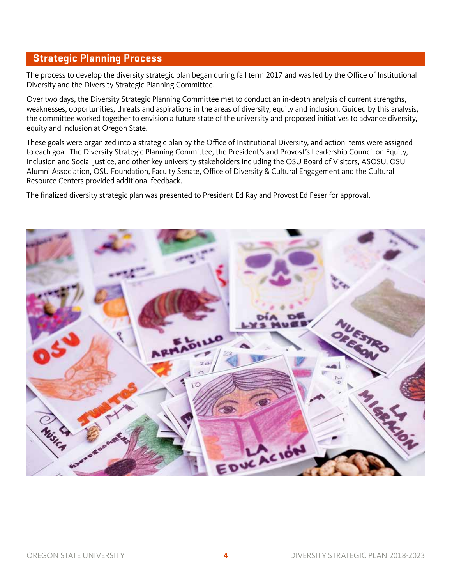# **Strategic Planning Process**

The process to develop the diversity strategic plan began during fall term 2017 and was led by the Office of Institutional Diversity and the Diversity Strategic Planning Committee.

Over two days, the Diversity Strategic Planning Committee met to conduct an in-depth analysis of current strengths, weaknesses, opportunities, threats and aspirations in the areas of diversity, equity and inclusion. Guided by this analysis, the committee worked together to envision a future state of the university and proposed initiatives to advance diversity, equity and inclusion at Oregon State.

These goals were organized into a strategic plan by the Office of Institutional Diversity, and action items were assigned to each goal. The Diversity Strategic Planning Committee, the President's and Provost's Leadership Council on Equity, Inclusion and Social Justice, and other key university stakeholders including the OSU Board of Visitors, ASOSU, OSU Alumni Association, OSU Foundation, Faculty Senate, Office of Diversity & Cultural Engagement and the Cultural Resource Centers provided additional feedback.

The finalized diversity strategic plan was presented to President Ed Ray and Provost Ed Feser for approval.

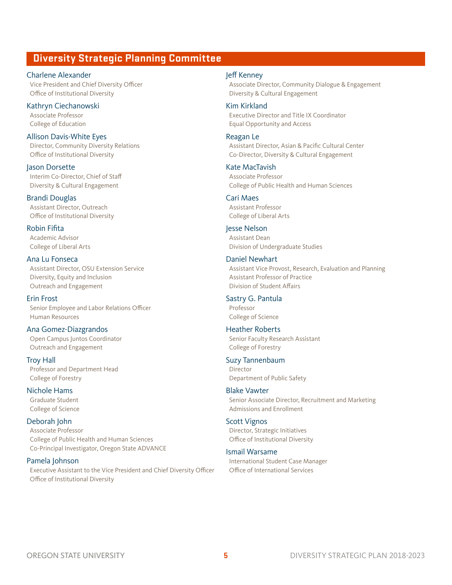# **Diversity Strategic Planning Committee**

#### Charlene Alexander

Vice President and Chief Diversity Officer Office of Institutional Diversity

Kathryn Ciechanowski Associate Professor College of Education

Allison Davis-White Eyes Director, Community Diversity Relations Office of Institutional Diversity

Jason Dorsette Interim Co-Director, Chief of Staff Diversity & Cultural Engagement

Brandi Douglas Assistant Director, Outreach Office of Institutional Diversity

Robin Fifita Academic Advisor College of Liberal Arts

#### Ana Lu Fonseca

Assistant Director, OSU Extension Service Diversity, Equity and Inclusion Outreach and Engagement

Erin Frost Senior Employee and Labor Relations Officer Human Resources

Ana Gomez-Diazgrandos

Open Campus Juntos Coordinator Outreach and Engagement

Troy Hall Professor and Department Head College of Forestry

Nichole Hams Graduate Student College of Science

Deborah John Associate Professor College of Public Health and Human Sciences Co-Principal Investigator, Oregon State ADVANCE

#### Pamela Johnson

Executive Assistant to the Vice President and Chief Diversity Officer Office of Institutional Diversity

#### Jeff Kenney

Associate Director, Community Dialogue & Engagement Diversity & Cultural Engagement

#### Kim Kirkland

Executive Director and Title IX Coordinator Equal Opportunity and Access

#### Reagan Le

Assistant Director, Asian & Pacific Cultural Center Co-Director, Diversity & Cultural Engagement

#### Kate MacTavish

Associate Professor College of Public Health and Human Sciences

#### Cari Maes

Assistant Professor College of Liberal Arts

#### Jesse Nelson

Assistant Dean Division of Undergraduate Studies

#### Daniel Newhart

Assistant Vice Provost, Research, Evaluation and Planning Assistant Professor of Practice Division of Student Affairs

#### Sastry G. Pantula

Professor College of Science

## Heather Roberts

Senior Faculty Research Assistant College of Forestry

#### Suzy Tannenbaum

Director Department of Public Safety

## Blake Vawter

Senior Associate Director, Recruitment and Marketing Admissions and Enrollment

#### Scott Vignos

Director, Strategic Initiatives Office of Institutional Diversity

#### Ismail Warsame

International Student Case Manager Office of International Services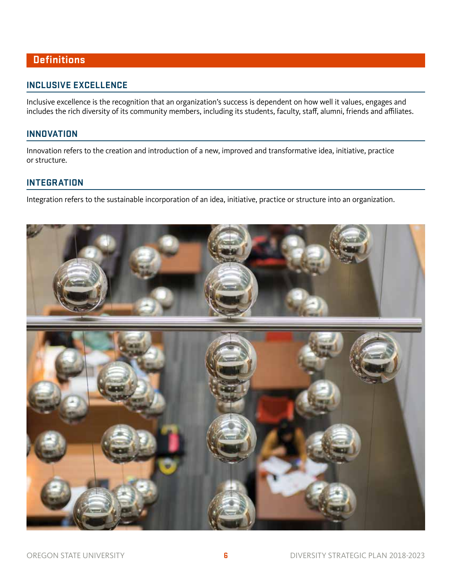# **Definitions**

## **INCLUSIVE EXCELLENCE**

Inclusive excellence is the recognition that an organization's success is dependent on how well it values, engages and includes the rich diversity of its community members, including its students, faculty, staff, alumni, friends and affiliates.

#### **INNOVATION**

Innovation refers to the creation and introduction of a new, improved and transformative idea, initiative, practice or structure.

## **INTEGRATION**

Integration refers to the sustainable incorporation of an idea, initiative, practice or structure into an organization.

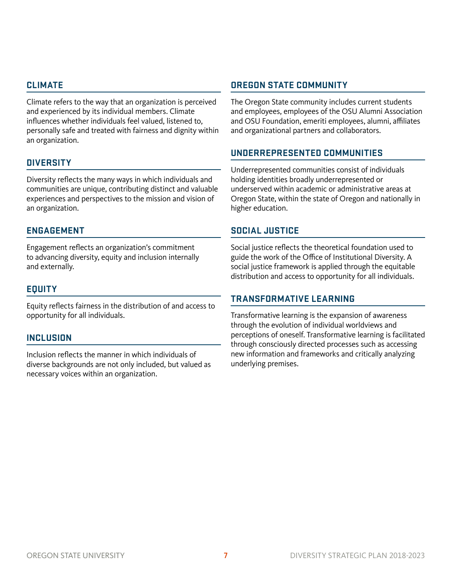## **CLIMATE**

Climate refers to the way that an organization is perceived and experienced by its individual members. Climate influences whether individuals feel valued, listened to, personally safe and treated with fairness and dignity within an organization.

## **DIVERSITY**

Diversity reflects the many ways in which individuals and communities are unique, contributing distinct and valuable experiences and perspectives to the mission and vision of an organization.

## **ENGAGEMENT**

Engagement reflects an organization's commitment to advancing diversity, equity and inclusion internally and externally.

## **EQUITY**

Equity reflects fairness in the distribution of and access to opportunity for all individuals.

#### **INCLUSION**

Inclusion reflects the manner in which individuals of diverse backgrounds are not only included, but valued as necessary voices within an organization.

## **OREGON STATE COMMUNITY**

The Oregon State community includes current students and employees, employees of the OSU Alumni Association and OSU Foundation, emeriti employees, alumni, affiliates and organizational partners and collaborators.

## **UNDERREPRESENTED COMMUNITIES**

Underrepresented communities consist of individuals holding identities broadly underrepresented or underserved within academic or administrative areas at Oregon State, within the state of Oregon and nationally in higher education.

## **SOCIAL JUSTICE**

Social justice reflects the theoretical foundation used to guide the work of the Office of Institutional Diversity. A social justice framework is applied through the equitable distribution and access to opportunity for all individuals.

#### **TRANSFORMATIVE LEARNING**

Transformative learning is the expansion of awareness through the evolution of individual worldviews and perceptions of oneself. Transformative learning is facilitated through consciously directed processes such as accessing new information and frameworks and critically analyzing underlying premises.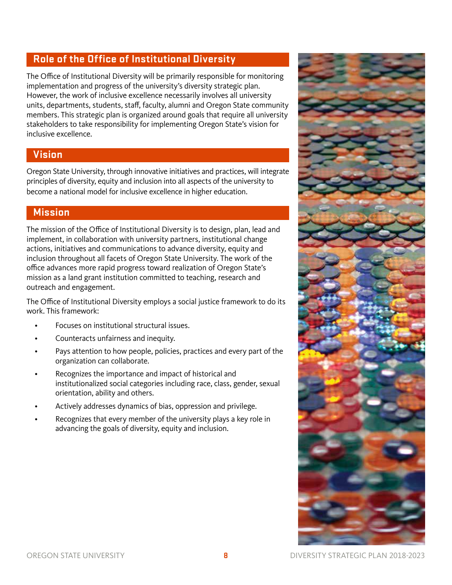# **Role of the Office of Institutional Diversity**

The Office of Institutional Diversity will be primarily responsible for monitoring implementation and progress of the university's diversity strategic plan. However, the work of inclusive excellence necessarily involves all university units, departments, students, staff, faculty, alumni and Oregon State community members. This strategic plan is organized around goals that require all university stakeholders to take responsibility for implementing Oregon State's vision for inclusive excellence.

# **Vision**

Oregon State University, through innovative initiatives and practices, will integrate principles of diversity, equity and inclusion into all aspects of the university to become a national model for inclusive excellence in higher education.

# **Mission**

The mission of the Office of Institutional Diversity is to design, plan, lead and implement, in collaboration with university partners, institutional change actions, initiatives and communications to advance diversity, equity and inclusion throughout all facets of Oregon State University. The work of the office advances more rapid progress toward realization of Oregon State's mission as a land grant institution committed to teaching, research and outreach and engagement.

The Office of Institutional Diversity employs a social justice framework to do its work. This framework:

- Focuses on institutional structural issues.
- Counteracts unfairness and inequity.
- Pays attention to how people, policies, practices and every part of the organization can collaborate.
- Recognizes the importance and impact of historical and institutionalized social categories including race, class, gender, sexual orientation, ability and others.
- Actively addresses dynamics of bias, oppression and privilege.
- Recognizes that every member of the university plays a key role in advancing the goals of diversity, equity and inclusion.

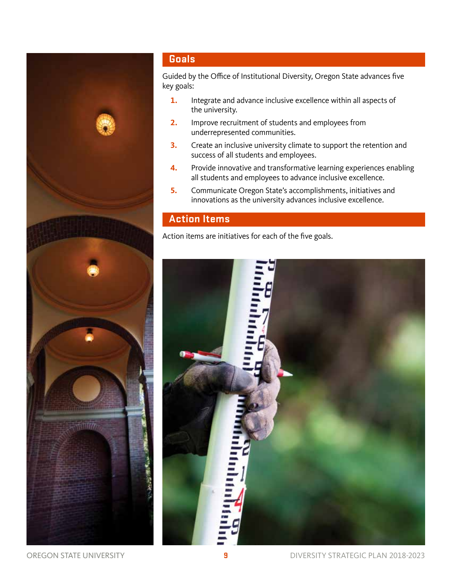

## **Goals**

Guided by the Office of Institutional Diversity, Oregon State advances five key goals:

- **1.** Integrate and advance inclusive excellence within all aspects of the university.
- **2.** Improve recruitment of students and employees from underrepresented communities.
- **3.** Create an inclusive university climate to support the retention and success of all students and employees.
- **4.** Provide innovative and transformative learning experiences enabling all students and employees to advance inclusive excellence.
- **5.** Communicate Oregon State's accomplishments, initiatives and innovations as the university advances inclusive excellence.

# **Action Items**

Action items are initiatives for each of the five goals.

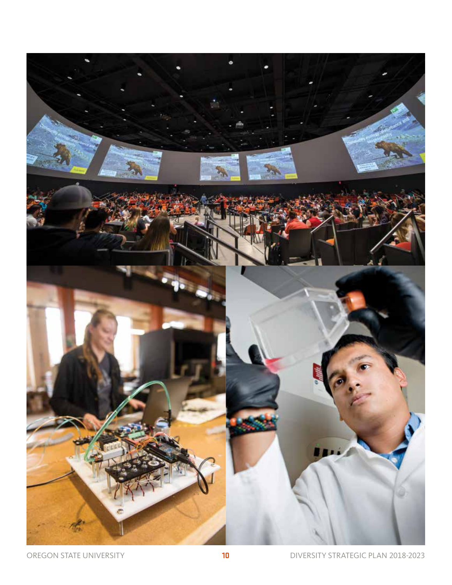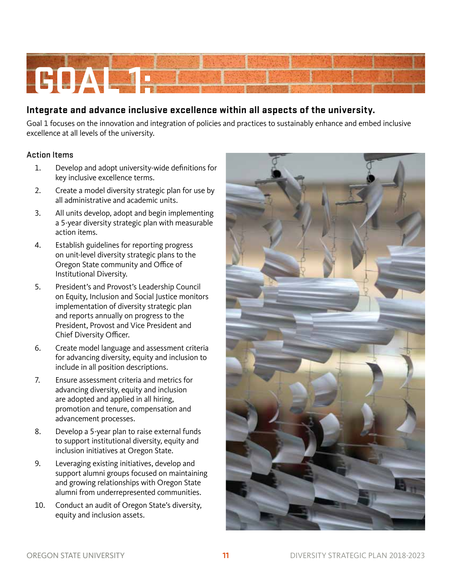

# **Integrate and advance inclusive excellence within all aspects of the university.**

Goal 1 focuses on the innovation and integration of policies and practices to sustainably enhance and embed inclusive excellence at all levels of the university.

- 1. Develop and adopt university-wide definitions for key inclusive excellence terms.
- 2. Create a model diversity strategic plan for use by all administrative and academic units.
- 3. All units develop, adopt and begin implementing a 5-year diversity strategic plan with measurable action items.
- 4. Establish guidelines for reporting progress on unit-level diversity strategic plans to the Oregon State community and Office of Institutional Diversity.
- 5. President's and Provost's Leadership Council on Equity, Inclusion and Social Justice monitors implementation of diversity strategic plan and reports annually on progress to the President, Provost and Vice President and Chief Diversity Officer.
- 6. Create model language and assessment criteria for advancing diversity, equity and inclusion to include in all position descriptions.
- 7. Ensure assessment criteria and metrics for advancing diversity, equity and inclusion are adopted and applied in all hiring, promotion and tenure, compensation and advancement processes.
- 8. Develop a 5-year plan to raise external funds to support institutional diversity, equity and inclusion initiatives at Oregon State.
- 9. Leveraging existing initiatives, develop and support alumni groups focused on maintaining and growing relationships with Oregon State alumni from underrepresented communities.
- 10. Conduct an audit of Oregon State's diversity, equity and inclusion assets.

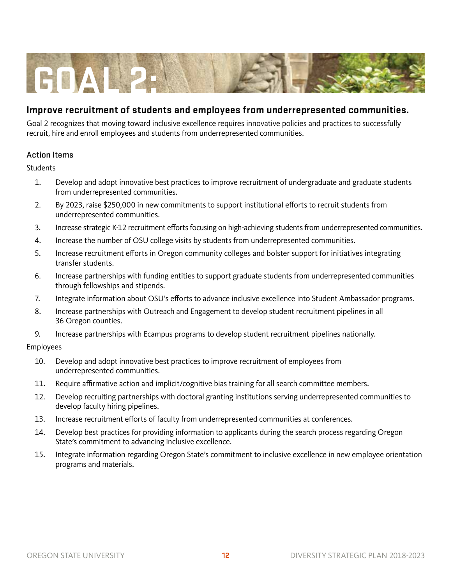

## **Improve recruitment of students and employees from underrepresented communities.**

Goal 2 recognizes that moving toward inclusive excellence requires innovative policies and practices to successfully recruit, hire and enroll employees and students from underrepresented communities.

#### Action Items

**Students** 

- 1. Develop and adopt innovative best practices to improve recruitment of undergraduate and graduate students from underrepresented communities.
- 2. By 2023, raise \$250,000 in new commitments to support institutional efforts to recruit students from underrepresented communities.
- 3. Increase strategic K-12 recruitment efforts focusing on high-achieving students from underrepresented communities.
- 4. Increase the number of OSU college visits by students from underrepresented communities.
- 5. Increase recruitment efforts in Oregon community colleges and bolster support for initiatives integrating transfer students.
- 6. Increase partnerships with funding entities to support graduate students from underrepresented communities through fellowships and stipends.
- 7. Integrate information about OSU's efforts to advance inclusive excellence into Student Ambassador programs.
- 8. Increase partnerships with Outreach and Engagement to develop student recruitment pipelines in all 36 Oregon counties.
- 9. Increase partnerships with Ecampus programs to develop student recruitment pipelines nationally.

Employees

- 10. Develop and adopt innovative best practices to improve recruitment of employees from underrepresented communities.
- 11. Require affirmative action and implicit/cognitive bias training for all search committee members.
- 12. Develop recruiting partnerships with doctoral granting institutions serving underrepresented communities to develop faculty hiring pipelines.
- 13. Increase recruitment efforts of faculty from underrepresented communities at conferences.
- 14. Develop best practices for providing information to applicants during the search process regarding Oregon State's commitment to advancing inclusive excellence.
- 15. Integrate information regarding Oregon State's commitment to inclusive excellence in new employee orientation programs and materials.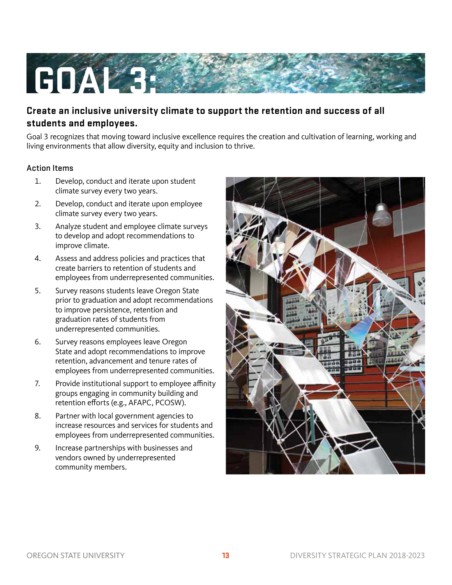

# **Create an inclusive university climate to support the retention and success of all students and employees.**

Goal 3 recognizes that moving toward inclusive excellence requires the creation and cultivation of learning, working and living environments that allow diversity, equity and inclusion to thrive.

- 1. Develop, conduct and iterate upon student climate survey every two years.
- 2. Develop, conduct and iterate upon employee climate survey every two years.
- 3. Analyze student and employee climate surveys to develop and adopt recommendations to improve climate.
- 4. Assess and address policies and practices that create barriers to retention of students and employees from underrepresented communities.
- 5. Survey reasons students leave Oregon State prior to graduation and adopt recommendations to improve persistence, retention and graduation rates of students from underrepresented communities.
- 6. Survey reasons employees leave Oregon State and adopt recommendations to improve retention, advancement and tenure rates of employees from underrepresented communities.
- 7. Provide institutional support to employee affinity groups engaging in community building and retention efforts (e.g., AFAPC, PCOSW).
- 8. Partner with local government agencies to increase resources and services for students and employees from underrepresented communities.
- 9. Increase partnerships with businesses and vendors owned by underrepresented community members.

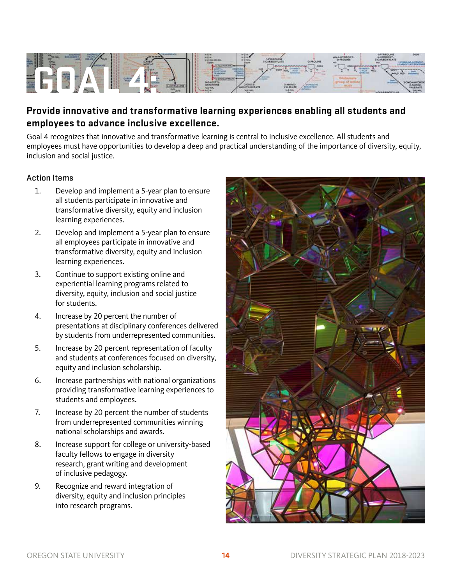

# **Provide innovative and transformative learning experiences enabling all students and employees to advance inclusive excellence.**

Goal 4 recognizes that innovative and transformative learning is central to inclusive excellence. All students and employees must have opportunities to develop a deep and practical understanding of the importance of diversity, equity, inclusion and social justice.

- 1. Develop and implement a 5-year plan to ensure all students participate in innovative and transformative diversity, equity and inclusion learning experiences.
- 2. Develop and implement a 5-year plan to ensure all employees participate in innovative and transformative diversity, equity and inclusion learning experiences.
- 3. Continue to support existing online and experiential learning programs related to diversity, equity, inclusion and social justice for students.
- 4. Increase by 20 percent the number of presentations at disciplinary conferences delivered by students from underrepresented communities.
- 5. Increase by 20 percent representation of faculty and students at conferences focused on diversity, equity and inclusion scholarship.
- 6. Increase partnerships with national organizations providing transformative learning experiences to students and employees.
- 7. Increase by 20 percent the number of students from underrepresented communities winning national scholarships and awards.
- 8. Increase support for college or university-based faculty fellows to engage in diversity research, grant writing and development of inclusive pedagogy.
- 9. Recognize and reward integration of diversity, equity and inclusion principles into research programs.

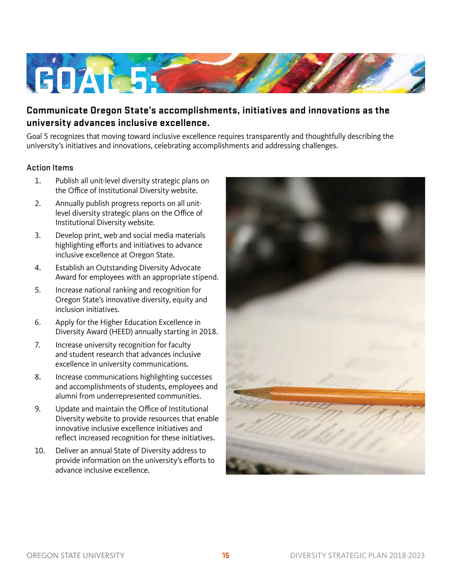

# **Communicate Oregon State's accomplishments, initiatives and innovations as the university advances inclusive excellence.**

Goal 5 recognizes that moving toward inclusive excellence requires transparently and thoughtfully describing the university's initiatives and innovations, celebrating accomplishments and addressing challenges.

- 1. Publish all unit-level diversity strategic plans on the Office of Institutional Diversity website.
- 2. Annually publish progress reports on all unitlevel diversity strategic plans on the Office of Institutional Diversity website.
- 3. Develop print, web and social media materials highlighting efforts and initiatives to advance inclusive excellence at Oregon State.
- 4. Establish an Outstanding Diversity Advocate Award for employees with an appropriate stipend.
- 5. Increase national ranking and recognition for Oregon State's innovative diversity, equity and inclusion initiatives.
- 6. Apply for the Higher Education Excellence in Diversity Award (HEED) annually starting in 2018.
- 7. Increase university recognition for faculty and student research that advances inclusive excellence in university communications.
- 8. Increase communications highlighting successes and accomplishments of students, employees and alumni from underrepresented communities.
- 9. Update and maintain the Office of Institutional Diversity website to provide resources that enable innovative inclusive excellence initiatives and reflect increased recognition for these initiatives.
- 10. Deliver an annual State of Diversity address to provide information on the university's efforts to advance inclusive excellence.